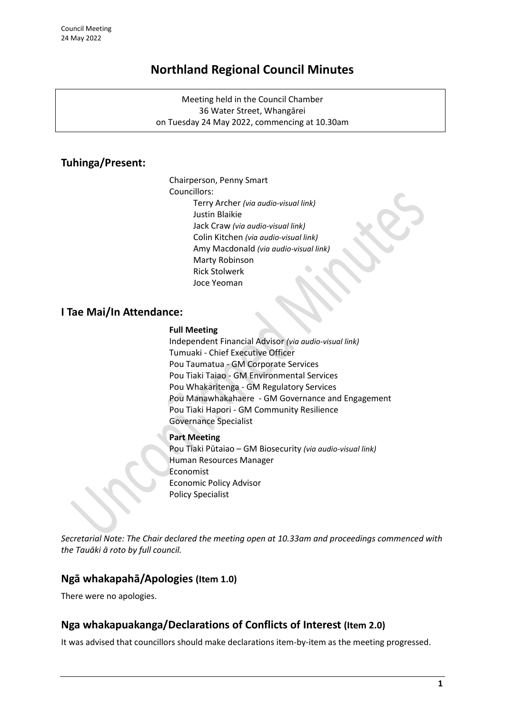# **Northland Regional Council Minutes**

Meeting held in the Council Chamber 36 Water Street, Whangārei on Tuesday 24 May 2022, commencing at 10.30am

## **Tuhinga/Present:**

Chairperson, Penny Smart Councillors: Terry Archer *(via audio-visual link)* Justin Blaikie Jack Craw *(via audio-visual link)* Colin Kitchen *(via audio-visual link)* Amy Macdonald *(via audio-visual link)* Marty Robinson Rick Stolwerk Joce Yeoman

### **I Tae Mai/In Attendance:**

#### **Full Meeting**

Independent Financial Advisor *(via audio-visual link)* Tumuaki - Chief Executive Officer Pou Taumatua - GM Corporate Services Pou Tiaki Taiao - GM Environmental Services Pou Whakaritenga - GM Regulatory Services Pou Manawhakahaere - GM Governance and Engagement Pou Tiaki Hapori - GM Community Resilience Governance Specialist

#### **Part Meeting**

Pou Tiaki Pūtaiao – GM Biosecurity *(via audio-visual link)* Human Resources Manager Economist Economic Policy Advisor Policy Specialist

*Secretarial Note: The Chair declared the meeting open at 10.33am and proceedings commenced with the Tauāki ā roto by full council.*

### **Ngā whakapahā/Apologies (Item 1.0)**

There were no apologies.

### **Nga whakapuakanga/Declarations of Conflicts of Interest (Item 2.0)**

It was advised that councillors should make declarations item-by-item as the meeting progressed.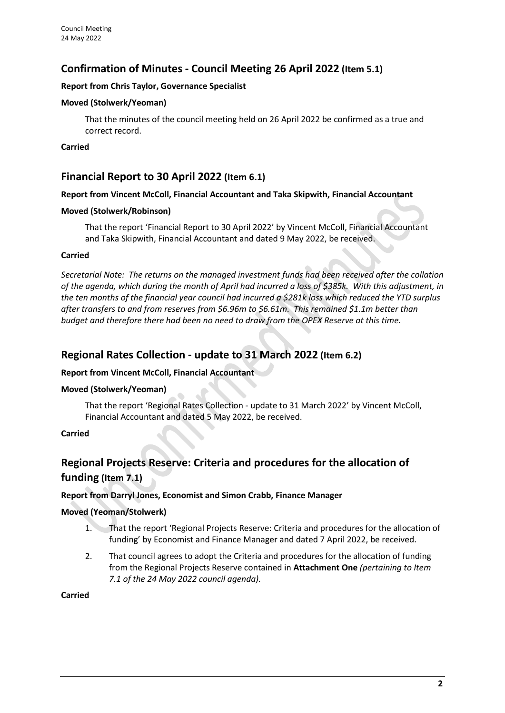### **Confirmation of Minutes - Council Meeting 26 April 2022 (Item 5.1)**

#### **Report from Chris Taylor, Governance Specialist**

#### **Moved (Stolwerk/Yeoman)**

That the minutes of the council meeting held on 26 April 2022 be confirmed as a true and correct record.

#### **Carried**

### **Financial Report to 30 April 2022 (Item 6.1)**

#### **Report from Vincent McColl, Financial Accountant and Taka Skipwith, Financial Accountant**

#### **Moved (Stolwerk/Robinson)**

That the report 'Financial Report to 30 April 2022' by Vincent McColl, Financial Accountant and Taka Skipwith, Financial Accountant and dated 9 May 2022, be received.

#### **Carried**

*Secretarial Note: The returns on the managed investment funds had been received after the collation of the agenda, which during the month of April had incurred a loss of \$385k. With this adjustment, in the ten months of the financial year council had incurred a \$281k loss which reduced the YTD surplus after transfers to and from reserves from \$6.96m to \$6.61m. This remained \$1.1m better than budget and therefore there had been no need to draw from the OPEX Reserve at this time.*

### **Regional Rates Collection - update to 31 March 2022 (Item 6.2)**

#### **Report from Vincent McColl, Financial Accountant**

#### **Moved (Stolwerk/Yeoman)**

That the report 'Regional Rates Collection - update to 31 March 2022' by Vincent McColl, Financial Accountant and dated 5 May 2022, be received.

#### **Carried**

## **Regional Projects Reserve: Criteria and procedures for the allocation of funding (Item 7.1)**

#### **Report from Darryl Jones, Economist and Simon Crabb, Finance Manager**

#### **Moved (Yeoman/Stolwerk)**

- 1. That the report 'Regional Projects Reserve: Criteria and procedures for the allocation of funding' by Economist and Finance Manager and dated 7 April 2022, be received.
- 2. That council agrees to adopt the Criteria and procedures for the allocation of funding from the Regional Projects Reserve contained in **Attachment One** *(pertaining to Item 7.1 of the 24 May 2022 council agenda).*

#### **Carried**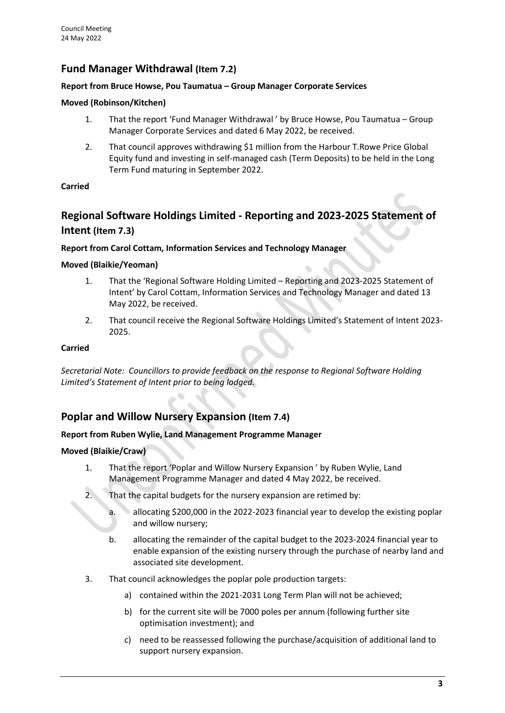## **Fund Manager Withdrawal (Item 7.2)**

#### **Report from Bruce Howse, Pou Taumatua – Group Manager Corporate Services**

#### **Moved (Robinson/Kitchen)**

- 1. That the report 'Fund Manager Withdrawal ' by Bruce Howse, Pou Taumatua Group Manager Corporate Services and dated 6 May 2022, be received.
- 2. That council approves withdrawing \$1 million from the Harbour T.Rowe Price Global Equity fund and investing in self-managed cash (Term Deposits) to be held in the Long Term Fund maturing in September 2022.

#### **Carried**

## **Regional Software Holdings Limited - Reporting and 2023-2025 Statement of Intent (Item 7.3)**

#### **Report from Carol Cottam, Information Services and Technology Manager**

#### **Moved (Blaikie/Yeoman)**

- 1. That the 'Regional Software Holding Limited Reporting and 2023-2025 Statement of Intent' by Carol Cottam, Information Services and Technology Manager and dated 13 May 2022, be received.
- 2. That council receive the Regional Software Holdings Limited's Statement of Intent 2023- 2025.

#### **Carried**

*Secretarial Note: Councillors to provide feedback on the response to Regional Software Holding Limited's Statement of Intent prior to being lodged.*

### **Poplar and Willow Nursery Expansion (Item 7.4)**

#### **Report from Ruben Wylie, Land Management Programme Manager**

#### **Moved (Blaikie/Craw)**

- 1. That the report 'Poplar and Willow Nursery Expansion ' by Ruben Wylie, Land Management Programme Manager and dated 4 May 2022, be received.
- 2. That the capital budgets for the nursery expansion are retimed by:
	- a. allocating \$200,000 in the 2022-2023 financial year to develop the existing poplar and willow nursery;
	- b. allocating the remainder of the capital budget to the 2023-2024 financial year to enable expansion of the existing nursery through the purchase of nearby land and associated site development.
- 3. That council acknowledges the poplar pole production targets:
	- a) contained within the 2021-2031 Long Term Plan will not be achieved;
	- b) for the current site will be 7000 poles per annum (following further site optimisation investment); and
	- c) need to be reassessed following the purchase/acquisition of additional land to support nursery expansion.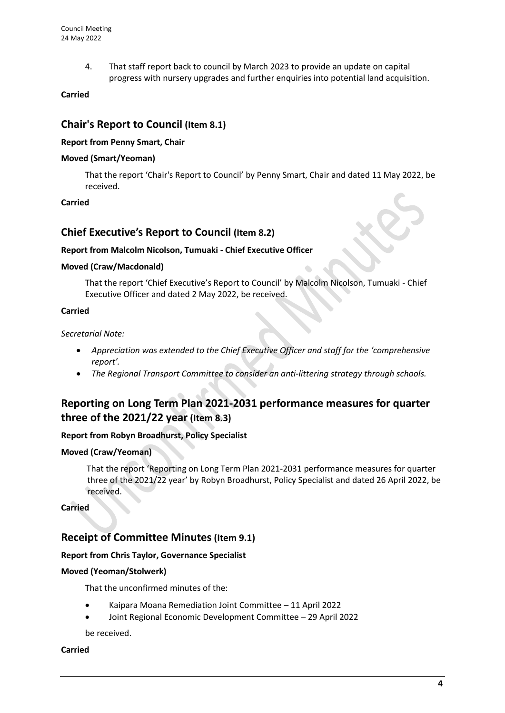4. That staff report back to council by March 2023 to provide an update on capital progress with nursery upgrades and further enquiries into potential land acquisition.

#### **Carried**

### **Chair's Report to Council (Item 8.1)**

#### **Report from Penny Smart, Chair**

#### **Moved (Smart/Yeoman)**

That the report 'Chair's Report to Council' by Penny Smart, Chair and dated 11 May 2022, be received.

#### **Carried**

### **Chief Executive's Report to Council (Item 8.2)**

#### **Report from Malcolm Nicolson, Tumuaki - Chief Executive Officer**

#### **Moved (Craw/Macdonald)**

That the report 'Chief Executive's Report to Council' by Malcolm Nicolson, Tumuaki - Chief Executive Officer and dated 2 May 2022, be received.

#### **Carried**

#### *Secretarial Note:*

- Appreciation was extended to the Chief Executive Officer and staff for the 'comprehensive' *report'.*
- *The Regional Transport Committee to consider an anti-littering strategy through schools.*

## **Reporting on Long Term Plan 2021-2031 performance measures for quarter three of the 2021/22 year (Item 8.3)**

#### **Report from Robyn Broadhurst, Policy Specialist**

#### **Moved (Craw/Yeoman)**

That the report 'Reporting on Long Term Plan 2021-2031 performance measures for quarter three of the 2021/22 year' by Robyn Broadhurst, Policy Specialist and dated 26 April 2022, be received.

**Carried**

### **Receipt of Committee Minutes (Item 9.1)**

#### **Report from Chris Taylor, Governance Specialist**

#### **Moved (Yeoman/Stolwerk)**

That the unconfirmed minutes of the:

- Kaipara Moana Remediation Joint Committee 11 April 2022
- Joint Regional Economic Development Committee 29 April 2022

be received.

#### **Carried**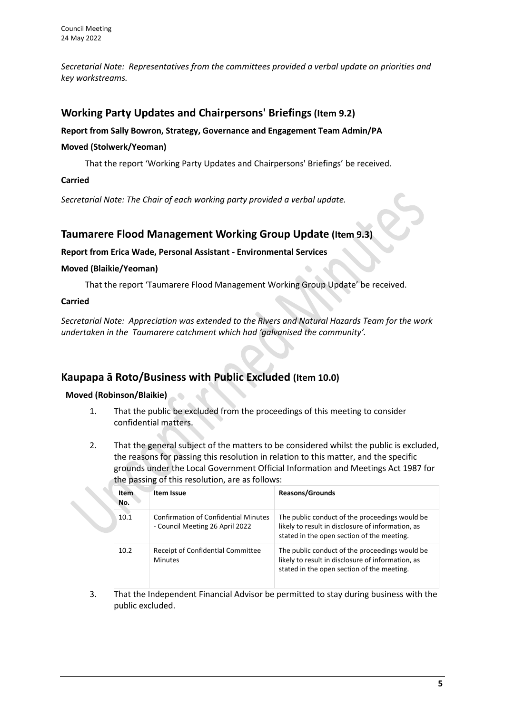*Secretarial Note: Representatives from the committees provided a verbal update on priorities and key workstreams.*

## **Working Party Updates and Chairpersons' Briefings(Item 9.2)**

#### **Report from Sally Bowron, Strategy, Governance and Engagement Team Admin/PA**

#### **Moved (Stolwerk/Yeoman)**

That the report 'Working Party Updates and Chairpersons' Briefings' be received.

#### **Carried**

*Secretarial Note: The Chair of each working party provided a verbal update.*

### **Taumarere Flood Management Working Group Update (Item 9.3)**

#### **Report from Erica Wade, Personal Assistant - Environmental Services**

#### **Moved (Blaikie/Yeoman)**

That the report 'Taumarere Flood Management Working Group Update' be received.

#### **Carried**

*Secretarial Note: Appreciation was extended to the Rivers and Natural Hazards Team for the work undertaken in the Taumarere catchment which had 'galvanised the community'.*

## **Kaupapa ā Roto/Business with Public Excluded (Item 10.0)**

#### **Moved (Robinson/Blaikie)**

- 1. That the public be excluded from the proceedings of this meeting to consider confidential matters.
- 2. That the general subject of the matters to be considered whilst the public is excluded, the reasons for passing this resolution in relation to this matter, and the specific grounds under the Local Government Official Information and Meetings Act 1987 for the passing of this resolution, are as follows:

| <b>Item</b><br>No. | Item Issue                                                                     | <b>Reasons/Grounds</b>                                                                                                                            |
|--------------------|--------------------------------------------------------------------------------|---------------------------------------------------------------------------------------------------------------------------------------------------|
| 10.1               | <b>Confirmation of Confidential Minutes</b><br>- Council Meeting 26 April 2022 | The public conduct of the proceedings would be<br>likely to result in disclosure of information, as<br>stated in the open section of the meeting. |
| 10.2               | Receipt of Confidential Committee<br><b>Minutes</b>                            | The public conduct of the proceedings would be<br>likely to result in disclosure of information, as<br>stated in the open section of the meeting. |

3. That the Independent Financial Advisor be permitted to stay during business with the public excluded.